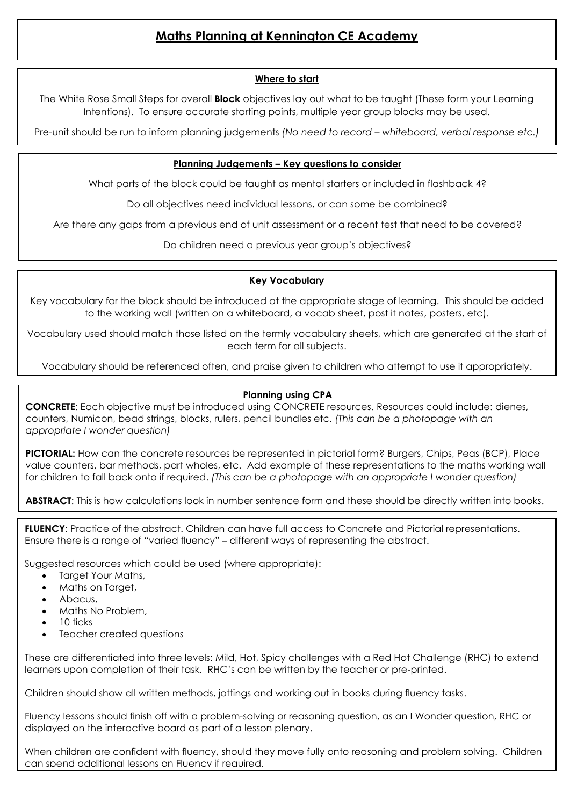# **Maths Planning at Kennington CE Academy**

#### **Where to start**

The White Rose Small Steps for overall **Block** objectives lay out what to be taught (These form your Learning Intentions). To ensure accurate starting points, multiple year group blocks may be used.

Pre-unit should be run to inform planning judgements *(No need to record – whiteboard, verbal response etc.)*

#### **Planning Judgements – Key questions to consider**

What parts of the block could be taught as mental starters or included in flashback 4?

Do all objectives need individual lessons, or can some be combined?

Are there any gaps from a previous end of unit assessment or a recent test that need to be covered?

Do children need a previous year group's objectives?

#### **Key Vocabulary**

Key vocabulary for the block should be introduced at the appropriate stage of learning. This should be added to the working wall (written on a whiteboard, a vocab sheet, post it notes, posters, etc).

Vocabulary used should match those listed on the termly vocabulary sheets, which are generated at the start of each term for all subjects.

Vocabulary should be referenced often, and praise given to children who attempt to use it appropriately.

## **Planning using CPA**

**CONCRETE**: Each objective must be introduced using CONCRETE resources. Resources could include: dienes, counters, Numicon, bead strings, blocks, rulers, pencil bundles etc. *(This can be a photopage with an appropriate I wonder question)* 

**PICTORIAL:** How can the concrete resources be represented in pictorial form? Burgers, Chips, Peas (BCP), Place value counters, bar methods, part wholes, etc. Add example of these representations to the maths working wall for children to fall back onto if required. *(This can be a photopage with an appropriate I wonder question)*

**ABSTRACT**: This is how calculations look in number sentence form and these should be directly written into books.

**FLUENCY**: Practice of the abstract. Children can have full access to Concrete and Pictorial representations. Ensure there is a range of "varied fluency" – different ways of representing the abstract.

Suggested resources which could be used (where appropriate):

- Target Your Maths,
- Maths on Target,
- Abacus,
- Maths No Problem,
- 10 ticks
- Teacher created questions

These are differentiated into three levels: Mild, Hot, Spicy challenges with a Red Hot Challenge (RHC) to extend learners upon completion of their task. RHC's can be written by the teacher or pre-printed.

Children should show all written methods, jottings and working out in books during fluency tasks.

Fluency lessons should finish off with a problem-solving or reasoning question, as an I Wonder question, RHC or displayed on the interactive board as part of a lesson plenary.

When children are confident with fluency, should they move fully onto reasoning and problem solving. Children can spend additional lessons on Fluency if required.